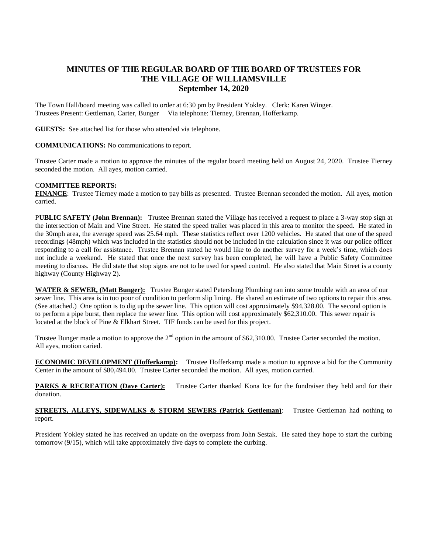## **MINUTES OF THE REGULAR BOARD OF THE BOARD OF TRUSTEES FOR THE VILLAGE OF WILLIAMSVILLE September 14, 2020**

The Town Hall/board meeting was called to order at 6:30 pm by President Yokley. Clerk: Karen Winger. Trustees Present: Gettleman, Carter, Bunger Via telephone: Tierney, Brennan, Hofferkamp.

**GUESTS:** See attached list for those who attended via telephone.

## **COMMUNICATIONS:** No communications to report.

Trustee Carter made a motion to approve the minutes of the regular board meeting held on August 24, 2020. Trustee Tierney seconded the motion. All ayes, motion carried.

## C**OMMITTEE REPORTS:**

**FINANCE**: Trustee Tierney made a motion to pay bills as presented. Trustee Brennan seconded the motion. All ayes, motion carried.

P**UBLIC SAFETY (John Brennan):** Trustee Brennan stated the Village has received a request to place a 3-way stop sign at the intersection of Main and Vine Street. He stated the speed trailer was placed in this area to monitor the speed. He stated in the 30mph area, the average speed was 25.64 mph. These statistics reflect over 1200 vehicles. He stated that one of the speed recordings (48mph) which was included in the statistics should not be included in the calculation since it was our police officer responding to a call for assistance. Trustee Brennan stated he would like to do another survey for a week's time, which does not include a weekend. He stated that once the next survey has been completed, he will have a Public Safety Committee meeting to discuss. He did state that stop signs are not to be used for speed control. He also stated that Main Street is a county highway (County Highway 2).

**WATER & SEWER, (Matt Bunger):** Trustee Bunger stated Petersburg Plumbing ran into some trouble with an area of our sewer line. This area is in too poor of condition to perform slip lining. He shared an estimate of two options to repair this area. (See attached.) One option is to dig up the sewer line. This option will cost approximately \$94,328.00. The second option is to perform a pipe burst, then replace the sewer line. This option will cost approximately \$62,310.00. This sewer repair is located at the block of Pine & Elkhart Street. TIF funds can be used for this project.

Trustee Bunger made a motion to approve the  $2<sup>nd</sup>$  option in the amount of \$62,310.00. Trustee Carter seconded the motion. All ayes, motion caried.

**ECONOMIC DEVELOPMENT (Hofferkamp):** Trustee Hofferkamp made a motion to approve a bid for the Community Center in the amount of \$80,494.00. Trustee Carter seconded the motion. All ayes, motion carried.

**PARKS & RECREATION (Dave Carter):** Trustee Carter thanked Kona Ice for the fundraiser they held and for their donation.

**STREETS, ALLEYS, SIDEWALKS & STORM SEWERS (Patrick Gettleman):** Trustee Gettleman had nothing to report.

President Yokley stated he has received an update on the overpass from John Sestak. He sated they hope to start the curbing tomorrow (9/15), which will take approximately five days to complete the curbing.